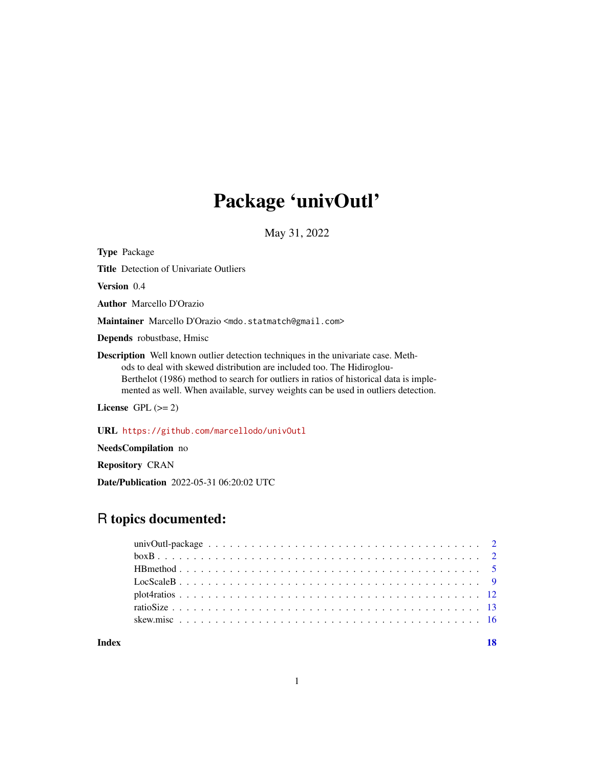# Package 'univOutl'

May 31, 2022

<span id="page-0-0"></span>

| <b>Type Package</b>                                                                                                                                                                                                                                                                                                                              |
|--------------------------------------------------------------------------------------------------------------------------------------------------------------------------------------------------------------------------------------------------------------------------------------------------------------------------------------------------|
| <b>Title</b> Detection of Univariate Outliers                                                                                                                                                                                                                                                                                                    |
| <b>Version</b> 0.4                                                                                                                                                                                                                                                                                                                               |
| <b>Author</b> Marcello D'Orazio                                                                                                                                                                                                                                                                                                                  |
| Maintainer Marcello D'Orazio <mdo.statmatch@gmail.com></mdo.statmatch@gmail.com>                                                                                                                                                                                                                                                                 |
| <b>Depends</b> robustbase, Hmisc                                                                                                                                                                                                                                                                                                                 |
| <b>Description</b> Well known outlier detection techniques in the univariate case. Meth-<br>ods to deal with skewed distribution are included too. The Hidiroglou-<br>Berthelot (1986) method to search for outliers in ratios of historical data is imple-<br>mented as well. When available, survey weights can be used in outliers detection. |
| License $GPL (= 2)$                                                                                                                                                                                                                                                                                                                              |
| URL https://github.com/marcellodo/univ0utl                                                                                                                                                                                                                                                                                                       |

NeedsCompilation no

Repository CRAN

Date/Publication 2022-05-31 06:20:02 UTC

# R topics documented:

| Index | 18 |
|-------|----|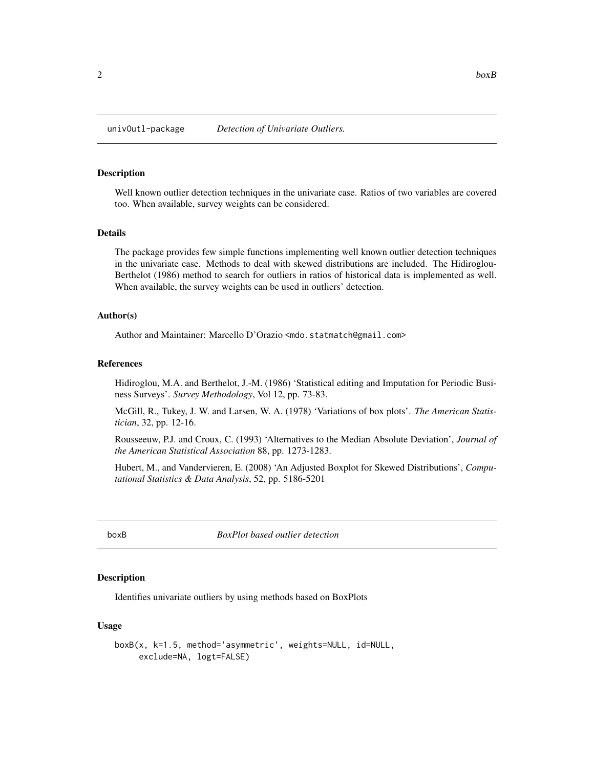<span id="page-1-0"></span>

# Description

Well known outlier detection techniques in the univariate case. Ratios of two variables are covered too. When available, survey weights can be considered.

#### Details

The package provides few simple functions implementing well known outlier detection techniques in the univariate case. Methods to deal with skewed distributions are included. The Hidiroglou-Berthelot (1986) method to search for outliers in ratios of historical data is implemented as well. When available, the survey weights can be used in outliers' detection.

# Author(s)

Author and Maintainer: Marcello D'Orazio <mdo.statmatch@gmail.com>

#### References

Hidiroglou, M.A. and Berthelot, J.-M. (1986) 'Statistical editing and Imputation for Periodic Business Surveys'. *Survey Methodology*, Vol 12, pp. 73-83.

McGill, R., Tukey, J. W. and Larsen, W. A. (1978) 'Variations of box plots'. *The American Statistician*, 32, pp. 12-16.

Rousseeuw, P.J. and Croux, C. (1993) 'Alternatives to the Median Absolute Deviation', *Journal of the American Statistical Association* 88, pp. 1273-1283.

Hubert, M., and Vandervieren, E. (2008) 'An Adjusted Boxplot for Skewed Distributions', *Computational Statistics & Data Analysis*, 52, pp. 5186-5201

<span id="page-1-1"></span>boxB *BoxPlot based outlier detection*

#### Description

Identifies univariate outliers by using methods based on BoxPlots

#### Usage

```
boxB(x, k=1.5, method='asymmetric', weights=NULL, id=NULL,
     exclude=NA, logt=FALSE)
```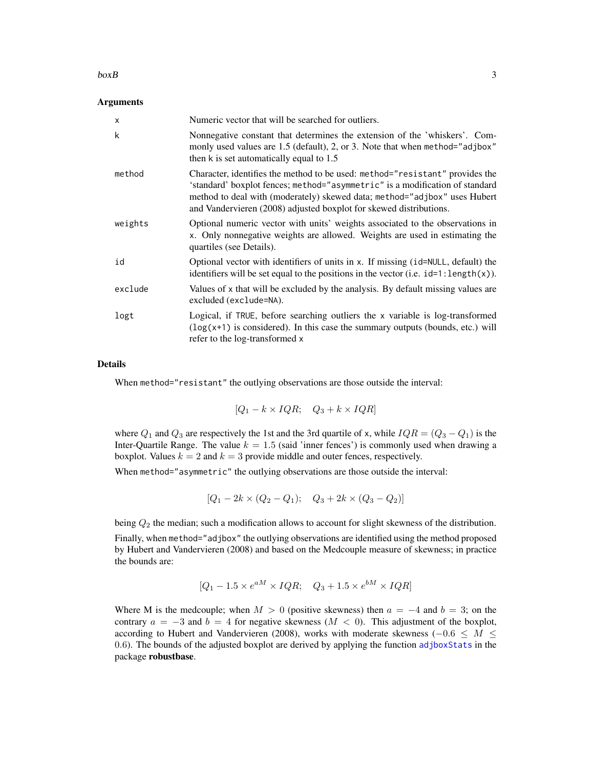#### <span id="page-2-0"></span> $b(x)$  3

### **Arguments**

| X       | Numeric vector that will be searched for outliers.                                                                                                                                                                                                                                                              |
|---------|-----------------------------------------------------------------------------------------------------------------------------------------------------------------------------------------------------------------------------------------------------------------------------------------------------------------|
| k       | Nonnegative constant that determines the extension of the 'whiskers'. Com-<br>monly used values are 1.5 (default), 2, or 3. Note that when method="adjbox"<br>then k is set automatically equal to $1.5$                                                                                                        |
| method  | Character, identifies the method to be used: method="resistant" provides the<br>'standard' boxplot fences; method="asymmetric" is a modification of standard<br>method to deal with (moderately) skewed data; method="adjbox" uses Hubert<br>and Vandervieren (2008) adjusted boxplot for skewed distributions. |
| weights | Optional numeric vector with units' weights associated to the observations in<br>x. Only nonnegative weights are allowed. Weights are used in estimating the<br>quartiles (see Details).                                                                                                                        |
| id      | Optional vector with identifiers of units in x. If missing (id=NULL, default) the<br>identifiers will be set equal to the positions in the vector (i.e. $id=1$ : length $(x)$ ).                                                                                                                                |
| exclude | Values of x that will be excluded by the analysis. By default missing values are<br>excluded (exclude=NA).                                                                                                                                                                                                      |
| logt    | Logical, if TRUE, before searching outliers the x variable is log-transformed<br>$(\log(x+1))$ is considered). In this case the summary outputs (bounds, etc.) will<br>refer to the log-transformed x                                                                                                           |

#### Details

When method="resistant" the outlying observations are those outside the interval:

$$
[Q_1 - k \times IQR; \quad Q_3 + k \times IQR]
$$

where  $Q_1$  and  $Q_3$  are respectively the 1st and the 3rd quartile of x, while  $IQR = (Q_3 - Q_1)$  is the Inter-Quartile Range. The value  $k = 1.5$  (said 'inner fences') is commonly used when drawing a boxplot. Values  $k = 2$  and  $k = 3$  provide middle and outer fences, respectively.

When method="asymmetric" the outlying observations are those outside the interval:

$$
[Q_1 - 2k \times (Q_2 - Q_1); \quad Q_3 + 2k \times (Q_3 - Q_2)]
$$

being  $Q_2$  the median; such a modification allows to account for slight skewness of the distribution.

Finally, when method="adjbox" the outlying observations are identified using the method proposed by Hubert and Vandervieren (2008) and based on the Medcouple measure of skewness; in practice the bounds are:

$$
[Q_1 - 1.5 \times e^{aM} \times IQR; \quad Q_3 + 1.5 \times e^{bM} \times IQR]
$$

Where M is the medcouple; when  $M > 0$  (positive skewness) then  $a = -4$  and  $b = 3$ ; on the contrary  $a = -3$  and  $b = 4$  for negative skewness ( $M < 0$ ). This adjustment of the boxplot, according to Hubert and Vandervieren (2008), works with moderate skewness ( $-0.6 \leq M \leq$ 0.6). The bounds of the adjusted boxplot are derived by applying the function [adjboxStats](#page-0-0) in the package robustbase.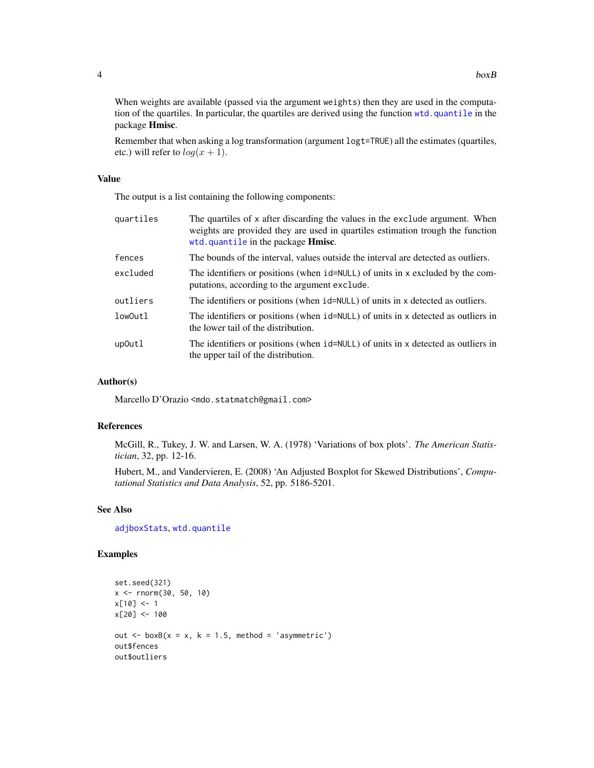<span id="page-3-0"></span>When weights are available (passed via the argument weights) then they are used in the computation of the quartiles. In particular, the quartiles are derived using the function [wtd.quantile](#page-0-0) in the package Hmisc.

Remember that when asking a log transformation (argument logt=TRUE) all the estimates (quartiles, etc.) will refer to  $log(x + 1)$ .

#### Value

The output is a list containing the following components:

| quartiles | The quartiles of x after discarding the values in the exclude argument. When<br>weights are provided they are used in quartiles estimation trough the function<br>wtd.quantile in the package Hmisc. |
|-----------|------------------------------------------------------------------------------------------------------------------------------------------------------------------------------------------------------|
| fences    | The bounds of the interval, values outside the interval are detected as outliers.                                                                                                                    |
| excluded  | The identifiers or positions (when id=NULL) of units in x excluded by the com-<br>putations, according to the argument exclude.                                                                      |
| outliers  | The identifiers or positions (when id=NULL) of units in x detected as outliers.                                                                                                                      |
| low0utl   | The identifiers or positions (when id=NULL) of units in x detected as outliers in<br>the lower tail of the distribution.                                                                             |
| up0utl    | The identifiers or positions (when id=NULL) of units in x detected as outliers in<br>the upper tail of the distribution.                                                                             |

#### Author(s)

Marcello D'Orazio <mdo.statmatch@gmail.com>

# References

McGill, R., Tukey, J. W. and Larsen, W. A. (1978) 'Variations of box plots'. *The American Statistician*, 32, pp. 12-16.

Hubert, M., and Vandervieren, E. (2008) 'An Adjusted Boxplot for Skewed Distributions', *Computational Statistics and Data Analysis*, 52, pp. 5186-5201.

# See Also

[adjboxStats](#page-0-0), [wtd.quantile](#page-0-0)

```
set.seed(321)
x \le - rnorm(30, 50, 10)
x[10] <- 1
x[20] <- 100
out \leq boxB(x = x, k = 1.5, method = 'asymmetric')
out$fences
out$outliers
```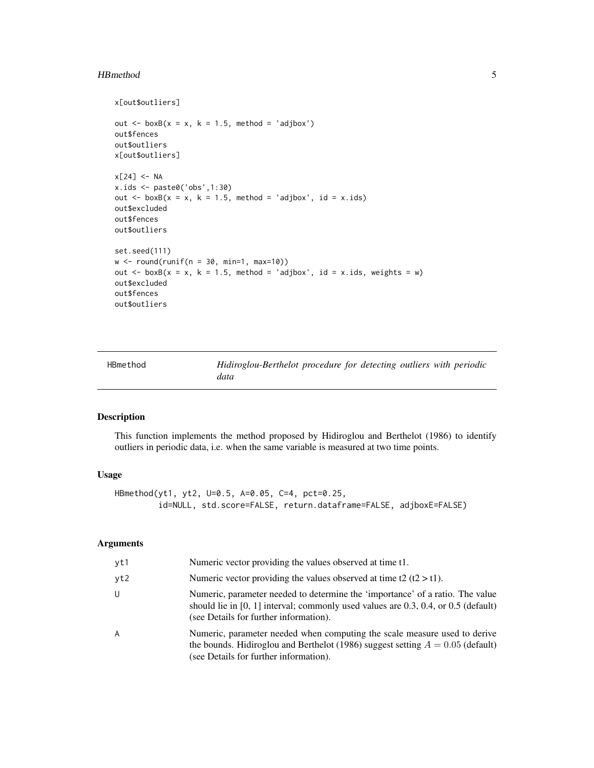#### <span id="page-4-0"></span>HBmethod 5

```
x[out$outliers]
out \le boxB(x = x, k = 1.5, method = 'adjbox')
out$fences
out$outliers
x[out$outliers]
x[24] <- NA
x.ids <- paste0('obs',1:30)
out \le boxB(x = x, k = 1.5, method = 'adjbox', id = x.ids)
out$excluded
out$fences
out$outliers
set.seed(111)
w \le round(runif(n = 30, min=1, max=10))
out \leq boxB(x = x, k = 1.5, method = 'adjbox', id = x.ids, weights = w)
out$excluded
out$fences
out$outliers
```
<span id="page-4-1"></span>HBmethod *Hidiroglou-Berthelot procedure for detecting outliers with periodic data*

### Description

This function implements the method proposed by Hidiroglou and Berthelot (1986) to identify outliers in periodic data, i.e. when the same variable is measured at two time points.

# Usage

```
HBmethod(yt1, yt2, U=0.5, A=0.05, C=4, pct=0.25,
         id=NULL, std.score=FALSE, return.dataframe=FALSE, adjboxE=FALSE)
```
# Arguments

| vt1            | Numeric vector providing the values observed at time t1.                                                                                                                                                        |
|----------------|-----------------------------------------------------------------------------------------------------------------------------------------------------------------------------------------------------------------|
| yt2            | Numeric vector providing the values observed at time t2 (t2 > t1).                                                                                                                                              |
| U              | Numeric, parameter needed to determine the 'importance' of a ratio. The value<br>should lie in $[0, 1]$ interval; commonly used values are 0.3, 0.4, or 0.5 (default)<br>(see Details for further information). |
| $\overline{A}$ | Numeric, parameter needed when computing the scale measure used to derive<br>the bounds. Hidiroglou and Berthelot (1986) suggest setting $A = 0.05$ (default)<br>(see Details for further information).         |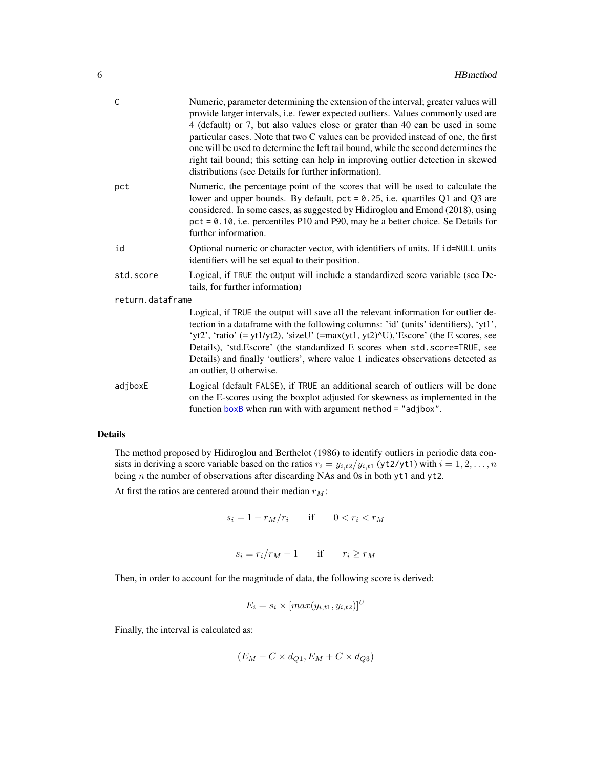<span id="page-5-0"></span>

| C                | Numeric, parameter determining the extension of the interval; greater values will<br>provide larger intervals, i.e. fewer expected outliers. Values commonly used are<br>4 (default) or 7, but also values close or grater than 40 can be used in some<br>particular cases. Note that two C values can be provided instead of one, the first<br>one will be used to determine the left tail bound, while the second determines the<br>right tail bound; this setting can help in improving outlier detection in skewed<br>distributions (see Details for further information). |
|------------------|--------------------------------------------------------------------------------------------------------------------------------------------------------------------------------------------------------------------------------------------------------------------------------------------------------------------------------------------------------------------------------------------------------------------------------------------------------------------------------------------------------------------------------------------------------------------------------|
| pct              | Numeric, the percentage point of the scores that will be used to calculate the<br>lower and upper bounds. By default, $pct = 0.25$ , i.e. quartiles Q1 and Q3 are<br>considered. In some cases, as suggested by Hidiroglou and Emond (2018), using<br>$pct = 0.10$ , i.e. percentiles P10 and P90, may be a better choice. Se Details for<br>further information.                                                                                                                                                                                                              |
| id               | Optional numeric or character vector, with identifiers of units. If id=NULL units<br>identifiers will be set equal to their position.                                                                                                                                                                                                                                                                                                                                                                                                                                          |
| std.score        | Logical, if TRUE the output will include a standardized score variable (see De-<br>tails, for further information)                                                                                                                                                                                                                                                                                                                                                                                                                                                             |
| return.dataframe |                                                                                                                                                                                                                                                                                                                                                                                                                                                                                                                                                                                |
|                  | Logical, if TRUE the output will save all the relevant information for outlier de-<br>tection in a dataframe with the following columns: 'id' (units' identifiers), 'yt1',<br>'yt2', 'ratio' (= yt1/yt2), 'sizeU' (= $max(yt1, yt2)$ <sup><math>\wedge</math></sup> U), 'Escore' (the E scores, see<br>Details), 'std. Escore' (the standardized E scores when std. score=TRUE, see<br>Details) and finally 'outliers', where value 1 indicates observations detected as<br>an outlier, 0 otherwise.                                                                           |
| adjboxE          | Logical (default FALSE), if TRUE an additional search of outliers will be done<br>on the E-scores using the boxplot adjusted for skewness as implemented in the                                                                                                                                                                                                                                                                                                                                                                                                                |

# Details

The method proposed by Hidiroglou and Berthelot (1986) to identify outliers in periodic data consists in deriving a score variable based on the ratios  $r_i = y_{i,t2}/y_{i,t1}$  (yt2/yt1) with  $i = 1, 2, ..., n$ being  $n$  the number of observations after discarding NAs and 0s in both yt1 and yt2.

function [boxB](#page-1-1) when run with with argument method = "adjbox".

At first the ratios are centered around their median  $r_M$ :

$$
s_i = 1 - r_M/r_i \qquad \text{if} \qquad 0 < r_i < r_M
$$

$$
s_i = r_i/r_M - 1 \qquad \text{if} \qquad r_i \ge r_M
$$

Then, in order to account for the magnitude of data, the following score is derived:

$$
E_i = s_i \times [max(y_{i,t1}, y_{i,t2})]^U
$$

Finally, the interval is calculated as:

$$
(E_M - C \times d_{Q1}, E_M + C \times d_{Q3})
$$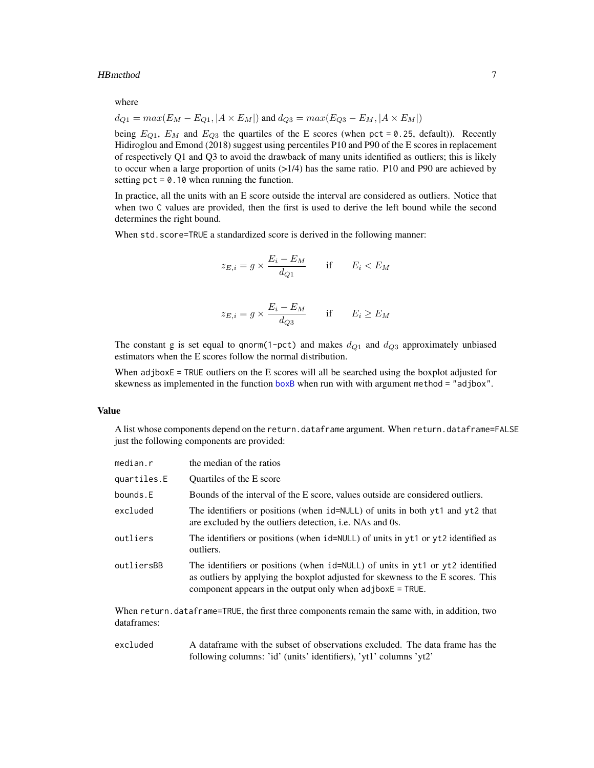#### <span id="page-6-0"></span>HBmethod 7

where

$$
d_{Q1} = max(E_M - E_{Q1}, |A \times E_M|)
$$
 and  $d_{Q3} = max(E_{Q3} - E_M, |A \times E_M|)$ 

being  $E_{Q1}$ ,  $E_M$  and  $E_{Q3}$  the quartiles of the E scores (when pct = 0.25, default)). Recently Hidiroglou and Emond (2018) suggest using percentiles P10 and P90 of the E scores in replacement of respectively Q1 and Q3 to avoid the drawback of many units identified as outliers; this is likely to occur when a large proportion of units (>1/4) has the same ratio. P10 and P90 are achieved by setting  $pct = 0.10$  when running the function.

In practice, all the units with an E score outside the interval are considered as outliers. Notice that when two C values are provided, then the first is used to derive the left bound while the second determines the right bound.

When std.score=TRUE a standardized score is derived in the following manner:

$$
z_{E,i} = g \times \frac{E_i - E_M}{d_{Q1}} \quad \text{if} \quad E_i < E_M
$$

$$
z_{E,i} = g \times \frac{E_i - E_M}{d_{Q3}} \quad \text{if} \quad E_i \ge E_M
$$

The constant g is set equal to qnorm(1-pct) and makes  $d_{Q1}$  and  $d_{Q3}$  approximately unbiased estimators when the E scores follow the normal distribution.

When adjboxE = TRUE outliers on the E scores will all be searched using the boxplot adjusted for skewness as implemented in the function [boxB](#page-1-1) when run with with argument method = "adjbox".

# Value

A list whose components depend on the return.dataframe argument. When return.dataframe=FALSE just the following components are provided:

| median.r    | the median of the ratios                                                                                                                                                                                                         |
|-------------|----------------------------------------------------------------------------------------------------------------------------------------------------------------------------------------------------------------------------------|
| quartiles.E | Quartiles of the E score                                                                                                                                                                                                         |
| bounds.E    | Bounds of the interval of the E score, values outside are considered outliers.                                                                                                                                                   |
| excluded    | The identifiers or positions (when id=NULL) of units in both yt1 and yt2 that<br>are excluded by the outliers detection, <i>i.e.</i> NAs and 0s.                                                                                 |
| outliers    | The identifiers or positions (when id=NULL) of units in yt1 or yt2 identified as<br>outliers.                                                                                                                                    |
| outliersBB  | The identifiers or positions (when id=NULL) of units in yt1 or yt2 identified<br>as outliers by applying the boxplot adjusted for skewness to the E scores. This<br>component appears in the output only when $adjboxE = TRUE$ . |

When return.dataframe=TRUE, the first three components remain the same with, in addition, two dataframes:

excluded A dataframe with the subset of observations excluded. The data frame has the following columns: 'id' (units' identifiers), 'yt1' columns 'yt2'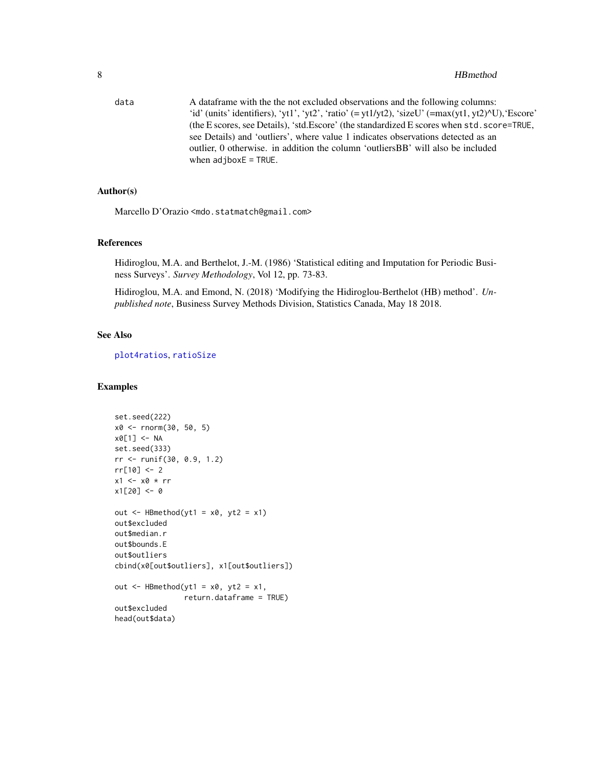#### <span id="page-7-0"></span>8 Beautiful and the set of the set of the set of the set of the set of the set of the set of the set of the set of the set of the set of the set of the set of the set of the set of the set of the set of the set of the set

data A dataframe with the the not excluded observations and the following columns: 'id' (units' identifiers), 'yt1', 'yt2', 'ratio' (= yt1/yt2), 'sizeU' (=max(yt1, yt2)^U), 'Escore' (the E scores, see Details), 'std.Escore' (the standardized E scores when std.score=TRUE, see Details) and 'outliers', where value 1 indicates observations detected as an outlier, 0 otherwise. in addition the column 'outliersBB' will also be included when adjboxE = TRUE.

# Author(s)

Marcello D'Orazio <mdo.statmatch@gmail.com>

#### References

Hidiroglou, M.A. and Berthelot, J.-M. (1986) 'Statistical editing and Imputation for Periodic Business Surveys'. *Survey Methodology*, Vol 12, pp. 73-83.

Hidiroglou, M.A. and Emond, N. (2018) 'Modifying the Hidiroglou-Berthelot (HB) method'. *Unpublished note*, Business Survey Methods Division, Statistics Canada, May 18 2018.

# See Also

[plot4ratios](#page-11-1), [ratioSize](#page-12-1)

```
set.seed(222)
x0 <- rnorm(30, 50, 5)
x0[1] <- NA
set.seed(333)
rr <- runif(30, 0.9, 1.2)
rr[10] <- 2
x1 <- x0 * rr
x1[20] <- 0
out \leq HBmethod(yt1 = x0, yt2 = x1)
out$excluded
out$median.r
out$bounds.E
out$outliers
cbind(x0[out$outliers], x1[out$outliers])
out \leq HBmethod(yt1 = x0, yt2 = x1,
                return.dataframe = TRUE)
out$excluded
head(out$data)
```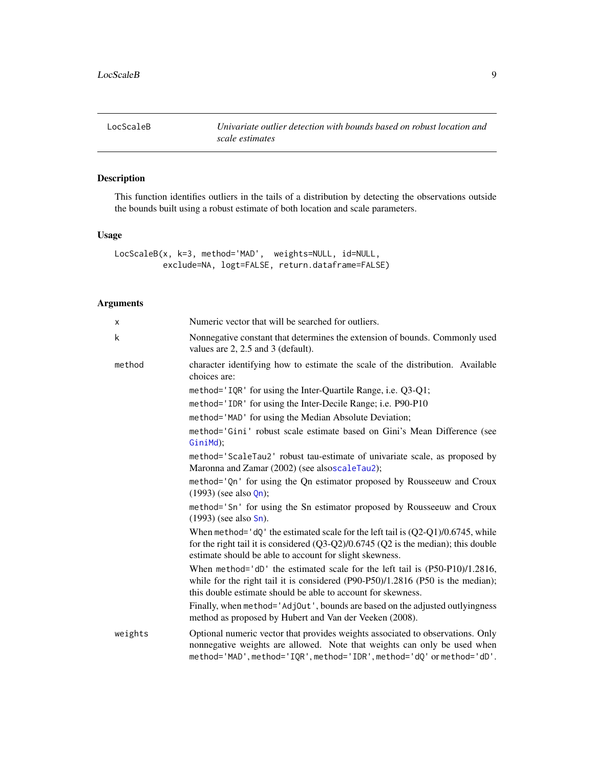<span id="page-8-0"></span>

# Description

This function identifies outliers in the tails of a distribution by detecting the observations outside the bounds built using a robust estimate of both location and scale parameters.

# Usage

```
LocScaleB(x, k=3, method='MAD', weights=NULL, id=NULL,
          exclude=NA, logt=FALSE, return.dataframe=FALSE)
```
# Arguments

| X       | Numeric vector that will be searched for outliers.                                                                                                                                                                                          |  |
|---------|---------------------------------------------------------------------------------------------------------------------------------------------------------------------------------------------------------------------------------------------|--|
| k       | Nonnegative constant that determines the extension of bounds. Commonly used<br>values are 2, 2.5 and 3 (default).                                                                                                                           |  |
| method  | character identifying how to estimate the scale of the distribution. Available<br>choices are:                                                                                                                                              |  |
|         | method='IQR' for using the Inter-Quartile Range, i.e. Q3-Q1;                                                                                                                                                                                |  |
|         | method='IDR' for using the Inter-Decile Range; i.e. P90-P10                                                                                                                                                                                 |  |
|         | method='MAD' for using the Median Absolute Deviation;                                                                                                                                                                                       |  |
|         | method='Gini' robust scale estimate based on Gini's Mean Difference (see<br>GiniMd);                                                                                                                                                        |  |
|         | method='ScaleTau2' robust tau-estimate of univariate scale, as proposed by<br>Maronna and Zamar (2002) (see alsoscaleTau2);                                                                                                                 |  |
|         | method='Qn' for using the Qn estimator proposed by Rousseeuw and Croux<br>$(1993)$ (see also $Qn$ );                                                                                                                                        |  |
|         | method='Sn' for using the Sn estimator proposed by Rousseeuw and Croux<br>$(1993)$ (see also Sn).                                                                                                                                           |  |
|         | When method= $'dQ'$ the estimated scale for the left tail is $(Q2-Q1)/0.6745$ , while<br>for the right tail it is considered $(Q3-Q2)/0.6745$ ( $Q2$ is the median); this double<br>estimate should be able to account for slight skewness. |  |
|         | When method='dD' the estimated scale for the left tail is (P50-P10)/1.2816,<br>while for the right tail it is considered $(P90-P50)/1.2816$ $(P50$ is the median);<br>this double estimate should be able to account for skewness.          |  |
|         | Finally, when method='AdjOut', bounds are based on the adjusted outlyingness<br>method as proposed by Hubert and Van der Veeken (2008).                                                                                                     |  |
| weights | Optional numeric vector that provides weights associated to observations. Only<br>nonnegative weights are allowed. Note that weights can only be used when<br>method='MAD', method='IQR', method='IDR', method='dQ' or method='dD'.         |  |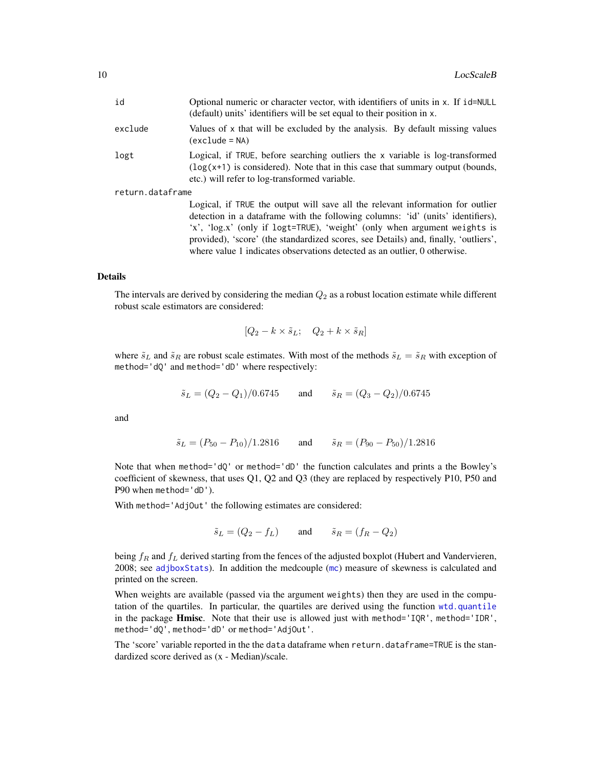<span id="page-9-0"></span>

| id               | Optional numeric or character vector, with identifiers of units in x. If id=NULL<br>(default) units' identifiers will be set equal to their position in x.                                                                                                                                                                             |  |
|------------------|----------------------------------------------------------------------------------------------------------------------------------------------------------------------------------------------------------------------------------------------------------------------------------------------------------------------------------------|--|
| exclude          | Values of x that will be excluded by the analysis. By default missing values<br>(exclude = NA)                                                                                                                                                                                                                                         |  |
| logt             | Logical, if TRUE, before searching outliers the x variable is log-transformed<br>$(\log(x+1))$ is considered). Note that in this case that summary output (bounds,<br>etc.) will refer to log-transformed variable.                                                                                                                    |  |
| return.dataframe |                                                                                                                                                                                                                                                                                                                                        |  |
|                  | Logical, if TRUE the output will save all the relevant information for outlier<br>detection in a data frame with the following columns: 'id' (units' identifiers),<br>'x', 'log.x' (only if logt=TRUE), 'weight' (only when argument weights is<br>provided), 'score' (the standardized scores, see Details) and, finally, 'outliers', |  |

#### Details

The intervals are derived by considering the median  $Q_2$  as a robust location estimate while different robust scale estimators are considered:

where value 1 indicates observations detected as an outlier, 0 otherwise.

$$
[Q_2 - k \times \tilde{s}_L; \quad Q_2 + k \times \tilde{s}_R]
$$

where  $\tilde{s}_L$  and  $\tilde{s}_R$  are robust scale estimates. With most of the methods  $\tilde{s}_L = \tilde{s}_R$  with exception of method='dQ' and method='dD' where respectively:

$$
\tilde{s}_L = (Q_2 - Q_1)/0.6745
$$
 and  $\tilde{s}_R = (Q_3 - Q_2)/0.6745$ 

and

$$
\tilde{s}_L = (P_{50} - P_{10})/1.2816
$$
 and  $\tilde{s}_R = (P_{90} - P_{50})/1.2816$ 

Note that when method='dQ' or method='dD' the function calculates and prints a the Bowley's coefficient of skewness, that uses Q1, Q2 and Q3 (they are replaced by respectively P10, P50 and P90 when method='dD').

With method='AdjOut' the following estimates are considered:

$$
\tilde{s}_L = (Q_2 - f_L) \qquad \text{and} \qquad \tilde{s}_R = (f_R - Q_2)
$$

being  $f_R$  and  $f_L$  derived starting from the fences of the adjusted boxplot (Hubert and Vandervieren, 2008; see [adjboxStats](#page-0-0)). In addition the medcouple ([mc](#page-0-0)) measure of skewness is calculated and printed on the screen.

When weights are available (passed via the argument weights) then they are used in the computation of the quartiles. In particular, the quartiles are derived using the function [wtd.quantile](#page-0-0) in the package Hmisc. Note that their use is allowed just with method='IQR', method='IDR', method='dQ', method='dD' or method='AdjOut'.

The 'score' variable reported in the the data dataframe when return.dataframe=TRUE is the standardized score derived as (x - Median)/scale.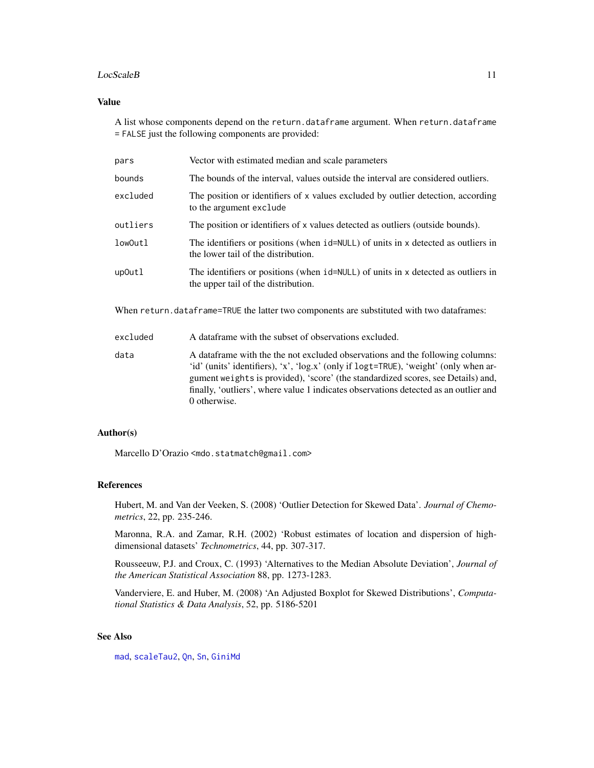#### <span id="page-10-0"></span>LocScaleB 11

### Value

A list whose components depend on the return.dataframe argument. When return.dataframe = FALSE just the following components are provided:

| Vector with estimated median and scale parameters                                                                        |  |
|--------------------------------------------------------------------------------------------------------------------------|--|
| The bounds of the interval, values outside the interval are considered outliers.                                         |  |
| The position or identifiers of x values excluded by outlier detection, according<br>to the argument exclude              |  |
| The position or identifiers of x values detected as outliers (outside bounds).                                           |  |
| The identifiers or positions (when id=NULL) of units in x detected as outliers in<br>the lower tail of the distribution. |  |
| The identifiers or positions (when id=NULL) of units in x detected as outliers in<br>the upper tail of the distribution. |  |
|                                                                                                                          |  |

When return.dataframe=TRUE the latter two components are substituted with two dataframes:

| excluded | A data frame with the subset of observations excluded.                                                                                                                                                                                                                                                                                                             |
|----------|--------------------------------------------------------------------------------------------------------------------------------------------------------------------------------------------------------------------------------------------------------------------------------------------------------------------------------------------------------------------|
| data     | A data frame with the the not excluded observations and the following columns:<br>'id' (units' identifiers), 'x', 'log,x' (only if logt=TRUE), 'weight' (only when ar-<br>gument weights is provided), 'score' (the standardized scores, see Details) and,<br>finally, 'outliers', where value 1 indicates observations detected as an outlier and<br>0 otherwise. |

# Author(s)

Marcello D'Orazio <mdo.statmatch@gmail.com>

#### References

Hubert, M. and Van der Veeken, S. (2008) 'Outlier Detection for Skewed Data'. *Journal of Chemometrics*, 22, pp. 235-246.

Maronna, R.A. and Zamar, R.H. (2002) 'Robust estimates of location and dispersion of highdimensional datasets' *Technometrics*, 44, pp. 307-317.

Rousseeuw, P.J. and Croux, C. (1993) 'Alternatives to the Median Absolute Deviation', *Journal of the American Statistical Association* 88, pp. 1273-1283.

Vanderviere, E. and Huber, M. (2008) 'An Adjusted Boxplot for Skewed Distributions', *Computational Statistics & Data Analysis*, 52, pp. 5186-5201

# See Also

[mad](#page-0-0), [scaleTau2](#page-0-0), [Qn](#page-0-0), [Sn](#page-0-0), [GiniMd](#page-0-0)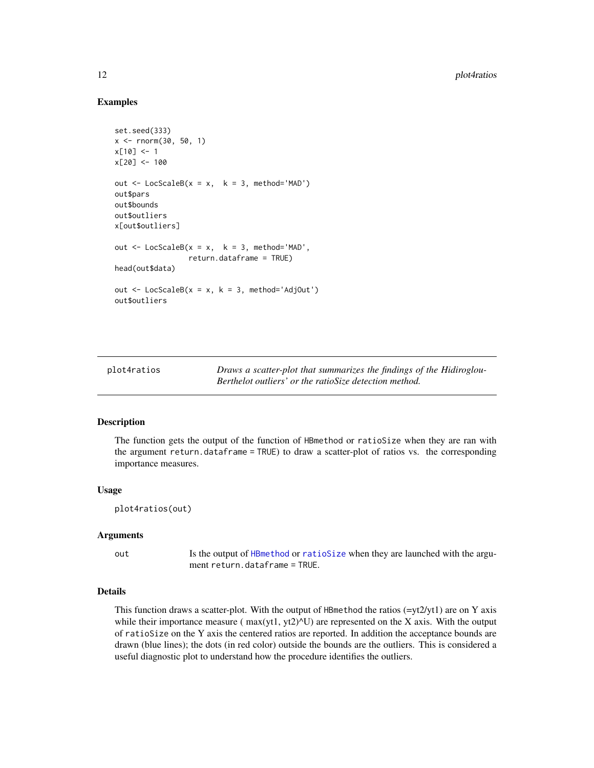# Examples

```
set.seed(333)
x \le - rnorm(30, 50, 1)
x[10] < -1x[20] < -100out \le LocScaleB(x = x, k = 3, method='MAD')
out$pars
out$bounds
out$outliers
x[out$outliers]
out \leq LocScaleB(x = x, k = 3, method='MAD',
                 return.dataframe = TRUE)
head(out$data)
out \leq LocScaleB(x = x, k = 3, method='AdjOut')
out$outliers
```
<span id="page-11-1"></span>

| plot4ratios | Draws a scatter-plot that summarizes the findings of the Hidiroglou- |
|-------------|----------------------------------------------------------------------|
|             | Berthelot outliers' or the ratioSize detection method.               |

#### Description

The function gets the output of the function of HBmethod or ratioSize when they are ran with the argument return.dataframe = TRUE) to draw a scatter-plot of ratios vs. the corresponding importance measures.

### Usage

```
plot4ratios(out)
```
#### Arguments

out Is the output of [HBmethod](#page-4-1) or [ratioSize](#page-12-1) when they are launched with the argument return.dataframe = TRUE.

# Details

This function draws a scatter-plot. With the output of HBmethod the ratios  $(=\gamma t/2/\gamma t)$  are on Y axis while their importance measure ( $max(yt1, yt2)$ <sup> $\vee$ </sup>U) are represented on the X axis. With the output of ratioSize on the Y axis the centered ratios are reported. In addition the acceptance bounds are drawn (blue lines); the dots (in red color) outside the bounds are the outliers. This is considered a useful diagnostic plot to understand how the procedure identifies the outliers.

<span id="page-11-0"></span>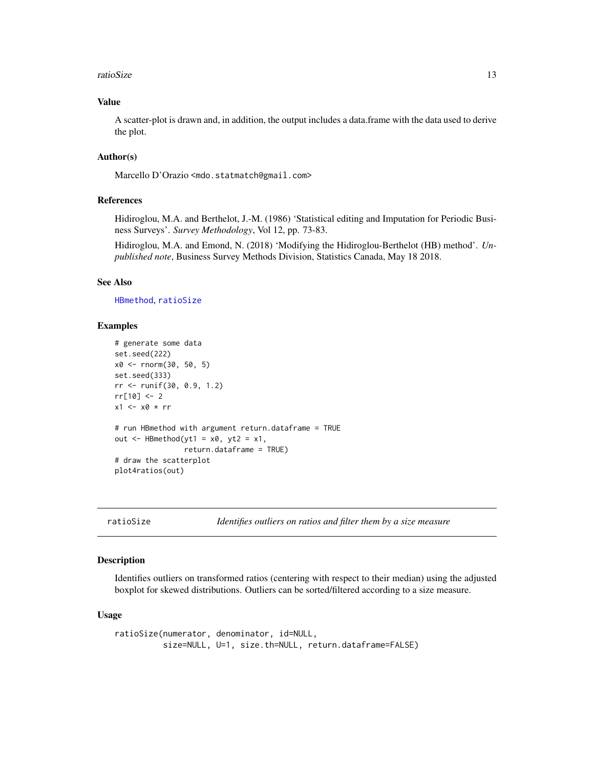#### <span id="page-12-0"></span>ratioSize 13

# Value

A scatter-plot is drawn and, in addition, the output includes a data.frame with the data used to derive the plot.

# Author(s)

Marcello D'Orazio <mdo.statmatch@gmail.com>

#### References

Hidiroglou, M.A. and Berthelot, J.-M. (1986) 'Statistical editing and Imputation for Periodic Business Surveys'. *Survey Methodology*, Vol 12, pp. 73-83.

Hidiroglou, M.A. and Emond, N. (2018) 'Modifying the Hidiroglou-Berthelot (HB) method'. *Unpublished note*, Business Survey Methods Division, Statistics Canada, May 18 2018.

# See Also

[HBmethod](#page-4-1), [ratioSize](#page-12-1)

# Examples

```
# generate some data
set.seed(222)
x0 <- rnorm(30, 50, 5)
set.seed(333)
rr <- runif(30, 0.9, 1.2)
rr[10] < -2x1 \leftarrow x0 \cdot rr# run HBmethod with argument return.dataframe = TRUE
out \leq HBmethod(yt1 = x0, yt2 = x1,
                return.dataframe = TRUE)
# draw the scatterplot
plot4ratios(out)
```
<span id="page-12-1"></span>ratioSize *Identifies outliers on ratios and filter them by a size measure*

#### Description

Identifies outliers on transformed ratios (centering with respect to their median) using the adjusted boxplot for skewed distributions. Outliers can be sorted/filtered according to a size measure.

#### Usage

```
ratioSize(numerator, denominator, id=NULL,
          size=NULL, U=1, size.th=NULL, return.dataframe=FALSE)
```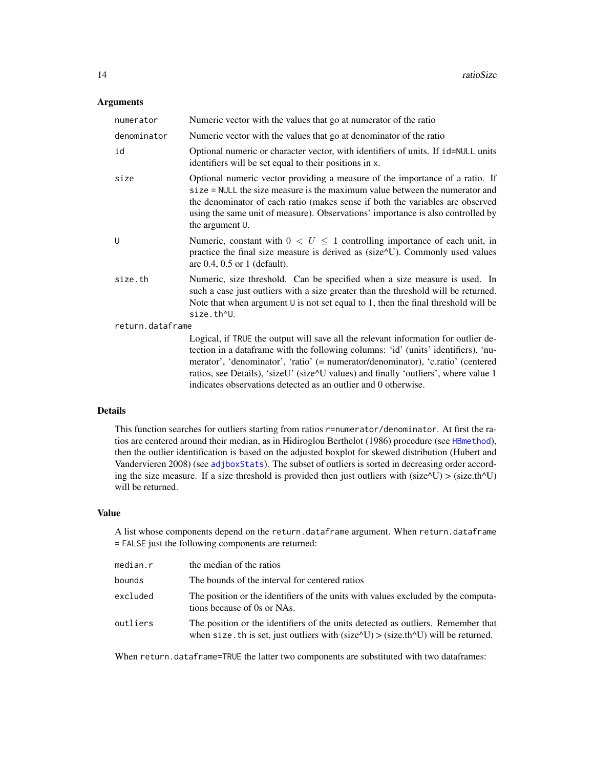# <span id="page-13-0"></span>Arguments

| numerator        | Numeric vector with the values that go at numerator of the ratio                                                                                                                                                                                                                                                                                                                                                     |  |
|------------------|----------------------------------------------------------------------------------------------------------------------------------------------------------------------------------------------------------------------------------------------------------------------------------------------------------------------------------------------------------------------------------------------------------------------|--|
| denominator      | Numeric vector with the values that go at denominator of the ratio                                                                                                                                                                                                                                                                                                                                                   |  |
| id               | Optional numeric or character vector, with identifiers of units. If id=NULL units<br>identifiers will be set equal to their positions in x.                                                                                                                                                                                                                                                                          |  |
| size             | Optional numeric vector providing a measure of the importance of a ratio. If<br>size = NULL the size measure is the maximum value between the numerator and<br>the denominator of each ratio (makes sense if both the variables are observed<br>using the same unit of measure). Observations' importance is also controlled by<br>the argument U.                                                                   |  |
| U                | Numeric, constant with $0 < U \leq 1$ controlling importance of each unit, in<br>practice the final size measure is derived as (size^U). Commonly used values<br>are $0.4$ , $0.5$ or 1 (default).                                                                                                                                                                                                                   |  |
| size.th          | Numeric, size threshold. Can be specified when a size measure is used. In<br>such a case just outliers with a size greater than the threshold will be returned.<br>Note that when argument $\cup$ is not set equal to 1, then the final threshold will be<br>size.th^U.                                                                                                                                              |  |
| return.dataframe |                                                                                                                                                                                                                                                                                                                                                                                                                      |  |
|                  | Logical, if TRUE the output will save all the relevant information for outlier de-<br>tection in a dataframe with the following columns: 'id' (units' identifiers), 'nu-<br>merator', 'denominator', 'ratio' (= numerator/denominator), 'c.ratio' (centered<br>ratios, see Details), 'sizeU' (size^U values) and finally 'outliers', where value 1<br>indicates observations detected as an outlier and 0 otherwise. |  |

# Details

This function searches for outliers starting from ratios r=numerator/denominator. At first the ratios are centered around their median, as in Hidiroglou Berthelot (1986) procedure (see [HBmethod](#page-4-1)), then the outlier identification is based on the adjusted boxplot for skewed distribution (Hubert and Vandervieren 2008) (see [adjboxStats](#page-0-0)). The subset of outliers is sorted in decreasing order according the size measure. If a size threshold is provided then just outliers with (size $\Delta U$ ) > (size.th $\Delta U$ ) will be returned.

# Value

A list whose components depend on the return.dataframe argument. When return.dataframe = FALSE just the following components are returned:

| median.r | the median of the ratios                                                                                                                                                                |
|----------|-----------------------------------------------------------------------------------------------------------------------------------------------------------------------------------------|
| bounds   | The bounds of the interval for centered ratios                                                                                                                                          |
| excluded | The position or the identifiers of the units with values excluded by the computa-<br>tions because of 0s or NAs.                                                                        |
| outliers | The position or the identifiers of the units detected as outliers. Remember that<br>when size. th is set, just outliers with $(size^{\wedge}U) > (size.th^{\wedge}U)$ will be returned. |

When return.dataframe=TRUE the latter two components are substituted with two dataframes: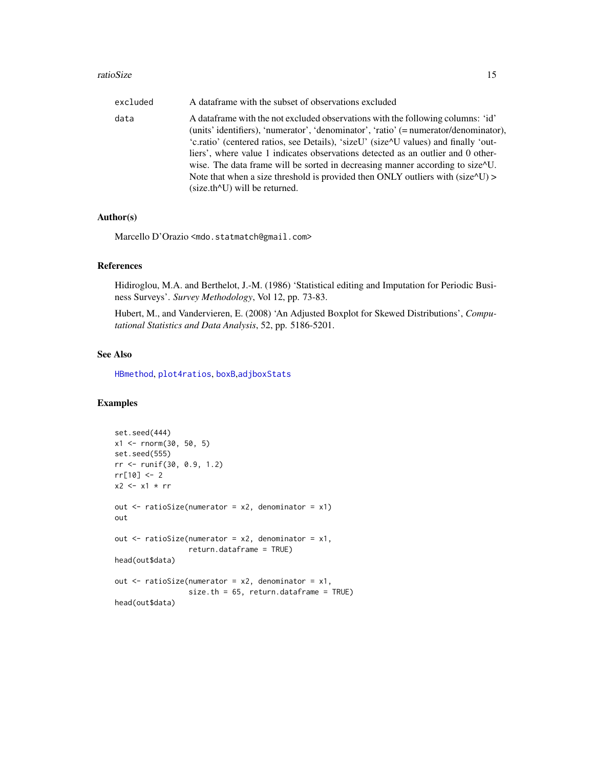#### <span id="page-14-0"></span>ratioSize 15

| excluded | A data frame with the subset of observations excluded                                                                                                                                                                                                                                 |
|----------|---------------------------------------------------------------------------------------------------------------------------------------------------------------------------------------------------------------------------------------------------------------------------------------|
| data     | A data frame with the not excluded observations with the following columns: 'id'<br>(units' identifiers), 'numerator', 'denominator', 'ratio' (= numerator/denominator),                                                                                                              |
|          | 'c.ratio' (centered ratios, see Details), 'sizeU' (size^U values) and finally 'out-<br>liers', where value 1 indicates observations detected as an outlier and 0 other-<br>wise. The data frame will be sorted in decreasing manner according to size <sup><math>\sim</math></sup> U. |
|          | Note that when a size threshold is provided then ONLY outliers with $(size^{\wedge}U)$<br>$(size.th^U)$ will be returned.                                                                                                                                                             |

#### Author(s)

Marcello D'Orazio <mdo.statmatch@gmail.com>

# References

Hidiroglou, M.A. and Berthelot, J.-M. (1986) 'Statistical editing and Imputation for Periodic Business Surveys'. *Survey Methodology*, Vol 12, pp. 73-83.

Hubert, M., and Vandervieren, E. (2008) 'An Adjusted Boxplot for Skewed Distributions', *Computational Statistics and Data Analysis*, 52, pp. 5186-5201.

# See Also

[HBmethod](#page-4-1), [plot4ratios](#page-11-1), [boxB](#page-1-1),[adjboxStats](#page-0-0)

```
set.seed(444)
x1 <- rnorm(30, 50, 5)
set.seed(555)
rr <- runif(30, 0.9, 1.2)
rr[10] <- 2
x2 \leq x1 \times rrout \le ratioSize(numerator = x2, denominator = x1)
out
out \le ratioSize(numerator = x2, denominator = x1,
                 return.dataframe = TRUE)
head(out$data)
out \le ratioSize(numerator = x2, denominator = x1,
                 size.th = 65, return.dataframe = TRUE)
head(out$data)
```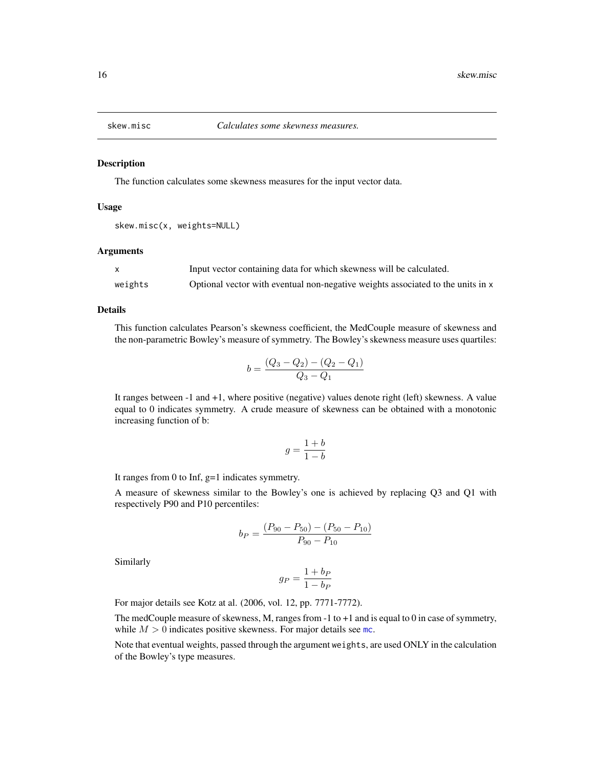<span id="page-15-0"></span>

#### Description

The function calculates some skewness measures for the input vector data.

#### Usage

```
skew.misc(x, weights=NULL)
```
#### Arguments

|         | Input vector containing data for which skewness will be calculated.             |
|---------|---------------------------------------------------------------------------------|
| weights | Optional vector with eventual non-negative weights associated to the units in x |

#### Details

This function calculates Pearson's skewness coefficient, the MedCouple measure of skewness and the non-parametric Bowley's measure of symmetry. The Bowley's skewness measure uses quartiles:

$$
b = \frac{(Q_3 - Q_2) - (Q_2 - Q_1)}{Q_3 - Q_1}
$$

It ranges between -1 and +1, where positive (negative) values denote right (left) skewness. A value equal to 0 indicates symmetry. A crude measure of skewness can be obtained with a monotonic increasing function of b:

$$
g = \frac{1+b}{1-b}
$$

It ranges from 0 to Inf, g=1 indicates symmetry.

A measure of skewness similar to the Bowley's one is achieved by replacing Q3 and Q1 with respectively P90 and P10 percentiles:

$$
b_P = \frac{(P_{90} - P_{50}) - (P_{50} - P_{10})}{P_{90} - P_{10}}
$$

Similarly

$$
g_P = \frac{1 + b_P}{1 - b_P}
$$

For major details see Kotz at al. (2006, vol. 12, pp. 7771-7772).

The medCouple measure of skewness, M, ranges from -1 to +1 and is equal to 0 in case of symmetry, while  $M > 0$  indicates positive skewness. For major details see [mc](#page-0-0).

Note that eventual weights, passed through the argument weights, are used ONLY in the calculation of the Bowley's type measures.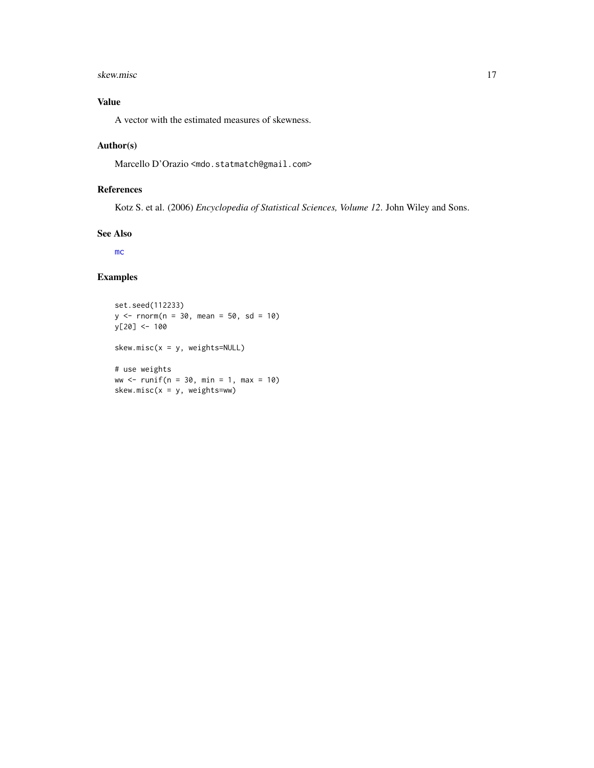#### <span id="page-16-0"></span>skew.misc and the state of the state of the state of the state of the state of the state of the state of the state of the state of the state of the state of the state of the state of the state of the state of the state of

# Value

A vector with the estimated measures of skewness.

# Author(s)

Marcello D'Orazio <mdo.statmatch@gmail.com>

# References

Kotz S. et al. (2006) *Encyclopedia of Statistical Sciences, Volume 12*. John Wiley and Sons.

#### See Also

[mc](#page-0-0)

```
set.seed(112233)
y \le - rnorm(n = 30, mean = 50, sd = 10)
y[20] <- 100
skew.misc(x = y, weights=NULL)
# use weights
ww <- runif(n = 30, min = 1, max = 10)
skew.misc(x = y, weights=ww)
```